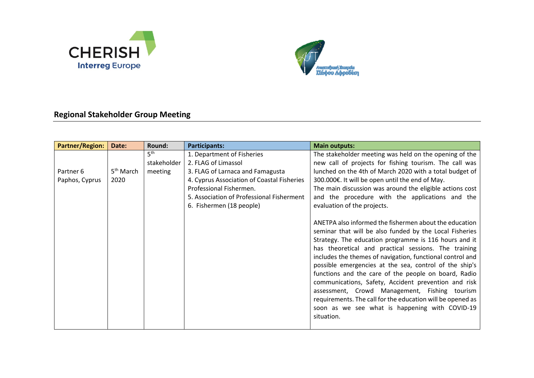



## **Regional Stakeholder Group Meeting**

| <b>Partner/Region:</b>      | Date:                         | Round:                                    | <b>Participants:</b>                                                                                                                                                                                                                    | <b>Main outputs:</b>                                                                                                                                                                                                                                                                                                                                                                                                                                                                                                                                                                                                                                                                                                                                                                                                                                                                                                                                                                                                                     |
|-----------------------------|-------------------------------|-------------------------------------------|-----------------------------------------------------------------------------------------------------------------------------------------------------------------------------------------------------------------------------------------|------------------------------------------------------------------------------------------------------------------------------------------------------------------------------------------------------------------------------------------------------------------------------------------------------------------------------------------------------------------------------------------------------------------------------------------------------------------------------------------------------------------------------------------------------------------------------------------------------------------------------------------------------------------------------------------------------------------------------------------------------------------------------------------------------------------------------------------------------------------------------------------------------------------------------------------------------------------------------------------------------------------------------------------|
| Partner 6<br>Paphos, Cyprus | 5 <sup>th</sup> March<br>2020 | 5 <sup>th</sup><br>stakeholder<br>meeting | 1. Department of Fisheries<br>2. FLAG of Limassol<br>3. FLAG of Larnaca and Famagusta<br>4. Cyprus Association of Coastal Fisheries<br>Professional Fishermen.<br>5. Association of Professional Fisherment<br>6. Fishermen (18 people) | The stakeholder meeting was held on the opening of the<br>new call of projects for fishing tourism. The call was<br>lunched on the 4th of March 2020 with a total budget of<br>300.000€. It will be open until the end of May.<br>The main discussion was around the eligible actions cost<br>and the procedure with the applications and the<br>evaluation of the projects.<br>ANETPA also informed the fishermen about the education<br>seminar that will be also funded by the Local Fisheries<br>Strategy. The education programme is 116 hours and it<br>has theoretical and practical sessions. The training<br>includes the themes of navigation, functional control and<br>possible emergencies at the sea, control of the ship's<br>functions and the care of the people on board, Radio<br>communications, Safety, Accident prevention and risk<br>assessment, Crowd Management, Fishing tourism<br>requirements. The call for the education will be opened as<br>soon as we see what is happening with COVID-19<br>situation. |
|                             |                               |                                           |                                                                                                                                                                                                                                         |                                                                                                                                                                                                                                                                                                                                                                                                                                                                                                                                                                                                                                                                                                                                                                                                                                                                                                                                                                                                                                          |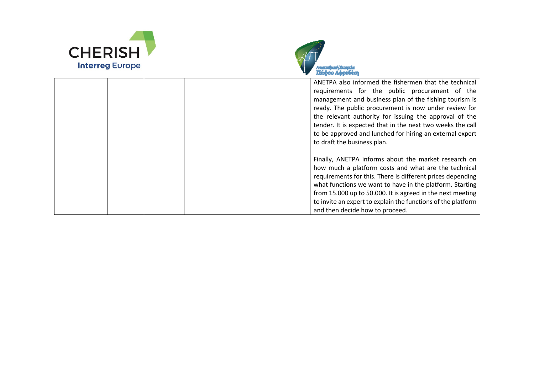



|  | ANETPA also informed the fishermen that the technical<br>requirements for the public procurement of the<br>management and business plan of the fishing tourism is<br>ready. The public procurement is now under review for<br>the relevant authority for issuing the approval of the<br>tender. It is expected that in the next two weeks the call<br>to be approved and lunched for hiring an external expert<br>to draft the business plan. |
|--|-----------------------------------------------------------------------------------------------------------------------------------------------------------------------------------------------------------------------------------------------------------------------------------------------------------------------------------------------------------------------------------------------------------------------------------------------|
|  | Finally, ANETPA informs about the market research on<br>how much a platform costs and what are the technical<br>requirements for this. There is different prices depending<br>what functions we want to have in the platform. Starting<br>from 15.000 up to 50.000. It is agreed in the next meeting<br>to invite an expert to explain the functions of the platform<br>and then decide how to proceed.                                       |